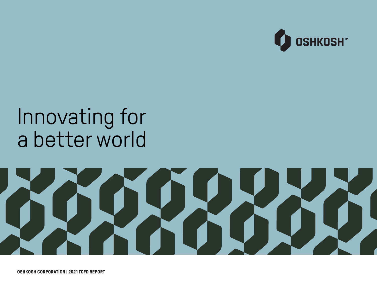

# Innovating for a better world



**OSHKOSH CORPORATION | 2021 TCFD REPORT**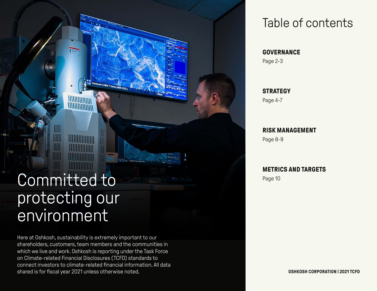#### Committed to protecting our environment

**MANAGEMENT S** 

**MUNIMINI** 

IIII IIII

Here at Oshkosh, sustainability is extremely important to our shareholders, customers, team members and the communities in which we live and work. Oshkosh is reporting under the Task Force on Climate-related Financial Disclosures (TCFD) standards to connect investors to climate-related financial information. All data shared is for fiscal year 2021 unless otherwise noted.

h 5.0kV 7.4mm x500 SE(L)

#### Table of contents

#### **GOVERNANCE**

Page 2-3

#### **STRATEGY**

Page 4-7

#### **RISK MANAGEMENT**

Page 8-9

#### **METRICS AND TARGETS**

Page 10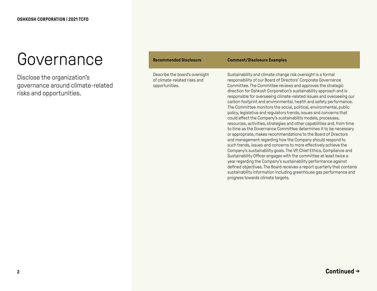#### Governance

Disclose the organization's governance around climate-related risks and opportunities.

| <b>Recommended Disclosure</b>                                                    | <b>Comment/Disclosure Examples</b>                                                                                                                                                                                                                                                                                                                                                                                                                                                                                                                                                                                                                                                                                                                                                                                                                                                                                                                                                                                                                                                                                                                                                                                                                                                                                                                                                           |
|----------------------------------------------------------------------------------|----------------------------------------------------------------------------------------------------------------------------------------------------------------------------------------------------------------------------------------------------------------------------------------------------------------------------------------------------------------------------------------------------------------------------------------------------------------------------------------------------------------------------------------------------------------------------------------------------------------------------------------------------------------------------------------------------------------------------------------------------------------------------------------------------------------------------------------------------------------------------------------------------------------------------------------------------------------------------------------------------------------------------------------------------------------------------------------------------------------------------------------------------------------------------------------------------------------------------------------------------------------------------------------------------------------------------------------------------------------------------------------------|
| Describe the board's oversight<br>of climate-related risks and<br>opportunities. | Sustainability and climate change risk oversight is a formal<br>responsibility of our Board of Directors' Corporate Governance<br>Committee. The Committee reviews and approves the strategic<br>direction for Oshkosh Corporation's sustainability approach and is<br>responsible for overseeing climate-related issues and overseeing our<br>carbon footprint and environmental, health and safety performance.<br>The Committee monitors the social, political, environmental, public<br>policy, legislative and regulatory trends, issues and concerns that<br>could affect the Company's sustainability models, processes,<br>resources, activities, strategies and other capabilities and, from time<br>to time as the Governance Committee determines it to be necessary<br>or appropriate, makes recommendations to the Board of Directors<br>and management regarding how the Company should respond to<br>such trends, issues and concerns to more effectively achieve the<br>Company's sustainability goals. The VP, Chief Ethics, Compliance and<br>Sustainability Officer engages with the committee at least twice a<br>year regarding the Company's sustainability performance against<br>defined objectives. The Board receives a report quarterly that contains<br>sustainability information including greenhouse gas performance and<br>progress towards climate targets. |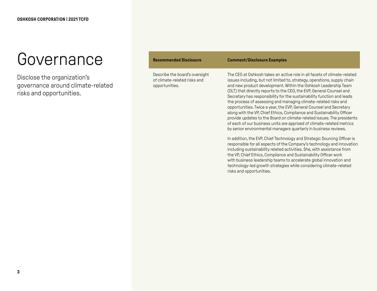#### Governance

Disclose the organization's governance around climate-related risks and opportunities.

| <b>Recommended Disclosure</b>                                                    | <b>Comment/Disclosure Examples</b>                                                                                                                                                                                                                                                                                                                                                                                                                                                                                                                                                                                                                                                                                                                                                                                  |
|----------------------------------------------------------------------------------|---------------------------------------------------------------------------------------------------------------------------------------------------------------------------------------------------------------------------------------------------------------------------------------------------------------------------------------------------------------------------------------------------------------------------------------------------------------------------------------------------------------------------------------------------------------------------------------------------------------------------------------------------------------------------------------------------------------------------------------------------------------------------------------------------------------------|
| Describe the board's oversight<br>of climate-related risks and<br>opportunities. | The CEO at Oshkosh takes an active role in all facets of climate-related<br>issues including, but not limited to, strategy, operations, supply chain<br>and new product development. Within the Oshkosh Leadership Team<br>(OLT) that directly reports to the CEO, the EVP, General Counsel and<br>Secretary has responsibility for the sustainability function and leads<br>the process of assessing and managing climate-related risks and<br>opportunities. Twice a year, the EVP, General Counsel and Secretary<br>along with the VP, Chief Ethics, Compliance and Sustainability Officer<br>provide updates to the Board on climate-related issues. The presidents<br>of each of our business units are apprised of climate-related metrics<br>by senior environmental managers quarterly in business reviews. |
|                                                                                  | In addition, the EVP, Chief Technology and Strategic Sourcing Officer is<br>responsible for all aspects of the Company's technology and innovation<br>including sustainability related activities. She, with assistance from<br>the VP, Chief Ethics, Compliance and Sustainability Officer work<br>with business leadership teams to accelerate global innovation and<br>technology-led growth strategies while considering climate-related<br>risks and opportunities.                                                                                                                                                                                                                                                                                                                                            |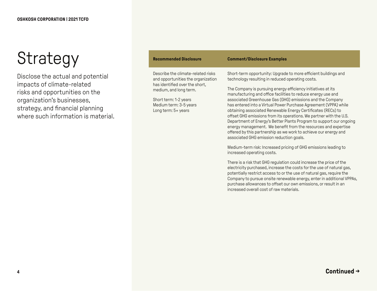Disclose the actual and potential impacts of climate-related risks and opportunities on the organization's businesses, strategy, and financial planning where such information is material.

| <b>Recommended Disclosure</b>                                                                                                                                                                                  | <b>Comment/Disclosure Examples</b>                                                                                                                                                                                                                                                                                                                                                                                                                                                                                                                                                                                                                                                                                                                                                                                                                                                   |
|----------------------------------------------------------------------------------------------------------------------------------------------------------------------------------------------------------------|--------------------------------------------------------------------------------------------------------------------------------------------------------------------------------------------------------------------------------------------------------------------------------------------------------------------------------------------------------------------------------------------------------------------------------------------------------------------------------------------------------------------------------------------------------------------------------------------------------------------------------------------------------------------------------------------------------------------------------------------------------------------------------------------------------------------------------------------------------------------------------------|
| Describe the climate-related risks<br>and opportunities the organization<br>has identified over the short,<br>medium, and long term.<br>Short term: 1-2 years<br>Medium term: 3-5 years<br>Long term: 5+ years | Short-term opportunity: Upgrade to more efficient buildings and<br>technology resulting in reduced operating costs.<br>The Company is pursuing energy efficiency initiatives at its<br>manufacturing and office facilities to reduce energy use and<br>associated Greenhouse Gas (GHG) emissions and the Company<br>has entered into a Virtual Power Purchase Agreement (VPPA) while<br>obtaining associated Renewable Energy Certificates (RECs) to<br>offset GHG emissions from its operations. We partner with the U.S.<br>Department of Energy's Better Plants Program to support our ongoing<br>energy management. We benefit from the resources and expertise<br>offered by this partnership as we work to achieve our energy and<br>associated GHG emission reduction goals.<br>Medium-term risk: Increased pricing of GHG emissions leading to<br>increased operating costs. |
|                                                                                                                                                                                                                | There is a risk that GHG regulation could increase the price of the<br>electricity purchased, increase the costs for the use of natural gas,                                                                                                                                                                                                                                                                                                                                                                                                                                                                                                                                                                                                                                                                                                                                         |

increased overall cost of raw materials.

potentially restrict access to or the use of natural gas, require the Company to pursue onsite renewable energy, enter in additional VPPAs, purchase allowances to offset our own emissions, or result in an

**Continued →**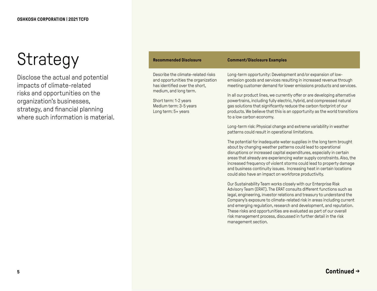Disclose the actual and potential impacts of climate-related risks and opportunities on the organization's businesses, strategy, and financial planning where such information is material

| <b>Recommended Disclosure</b>                                                                                                                                                                                  | <b>Comment/Disclosure Examples</b>                                                                                                                                                                                                                                                                                                                                                                                                                                                                                                             |
|----------------------------------------------------------------------------------------------------------------------------------------------------------------------------------------------------------------|------------------------------------------------------------------------------------------------------------------------------------------------------------------------------------------------------------------------------------------------------------------------------------------------------------------------------------------------------------------------------------------------------------------------------------------------------------------------------------------------------------------------------------------------|
| Describe the climate-related risks<br>and opportunities the organization<br>has identified over the short,<br>medium, and long term.<br>Short term: 1-2 years<br>Medium term: 3-5 years<br>Long term: 5+ years | Long-term opportunity: Development and/or expansion of low-<br>emission goods and services resulting in increased revenue through<br>meeting customer demand for lower emissions products and services.<br>In all our product lines, we currently offer or are developing alternative<br>powertrains, including fully electric, hybrid, and compressed natural<br>gas solutions that significantly reduce the carbon footprint of our<br>products. We believe that this is an opportunity as the world transitions<br>to a low carbon economy. |
|                                                                                                                                                                                                                | Long-term risk: Physical change and extreme variability in weather<br>patterns could result in operational limitations.                                                                                                                                                                                                                                                                                                                                                                                                                        |
|                                                                                                                                                                                                                | The potential for inadequate water supplies in the long term brought<br>about by changing weather patterns could lead to operational<br>disruptions or increased capital expenditures, especially in certain<br>areas that already are experiencing water supply constraints. Also, the<br>increased frequency of violent storms could lead to property damage<br>and business continuity issues. Increasing heat in certain locations                                                                                                         |

Our Sustainability Team works closely with our Enterprise Risk Advisory Team (ERAT). The ERAT consults different functions such as legal, engineering, investor relations and treasury to understand the Company's exposure to climate-related risk in areas including current and emerging regulation, research and development, and reputation. These risks and opportunities are evaluated as part of our overall risk management process, discussed in further detail in the risk management section.

could also have an impact on workforce productivity.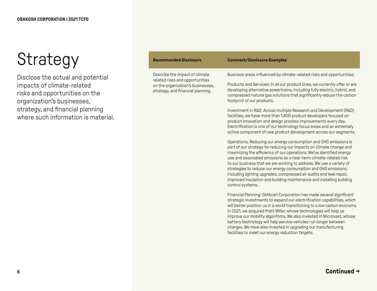Disclose the actual and potential impacts of climate-related risks and opportunities on the organization's businesses, strategy, and financial planning where such information is material.

| <b>Recommended Disclosure</b>                                                                                                               | <b>Comment/Disclosure Examples</b>                                                                                                                                                                                                                                                                                                                                                                                                                                                                                                                                                              |
|---------------------------------------------------------------------------------------------------------------------------------------------|-------------------------------------------------------------------------------------------------------------------------------------------------------------------------------------------------------------------------------------------------------------------------------------------------------------------------------------------------------------------------------------------------------------------------------------------------------------------------------------------------------------------------------------------------------------------------------------------------|
| Describe the impact of climate<br>related risks and opportunities<br>on the organization's businesses,<br>strategy, and financial planning. | Business areas influenced by climate-related risks and opportunities:                                                                                                                                                                                                                                                                                                                                                                                                                                                                                                                           |
|                                                                                                                                             | Products and Services: In all our product lines, we currently offer or are<br>developing alternative powertrains, including fully electric, hybrid, and<br>compressed natural gas solutions that significantly reduce the carbon<br>footprint of our products.                                                                                                                                                                                                                                                                                                                                  |
|                                                                                                                                             | Investment in R&D: Across multiple Research and Development (R&D)<br>facilities, we have more than 1,600 product developers focused on<br>product innovation and design process improvements every day.<br>Electrification is one of our technology focus areas and an extremely<br>active component of new product development across our segments.                                                                                                                                                                                                                                            |
|                                                                                                                                             | Operations: Reducing our energy consumption and GHG emissions is<br>part of our strategy for reducing our impacts on climate change and<br>maximizing the efficiency of our operations. We've identified energy<br>use and associated emissions as a near-term climate-related risk<br>to our business that we are working to address. We use a variety of<br>strategies to reduce our energy consumption and GHG emissions,<br>including lighting upgrades, compressed air audits and leak repair,<br>improved insulation and building maintenance and installing building<br>control systems. |
|                                                                                                                                             | Financial Planning: Oshkosh Corporation has made several significant<br>strategic investments to expand our electrification capabilities, which<br>will better position us in a world transitioning to a low carbon economy.<br>In 2021, we acquired Pratt Miller, whose technologies will help us<br>improve our mobility algorithms. We also invested in Microvast, whose<br>battery technology will help service vehicles run longer between<br>charges. We have also invested in upgrading our manufacturing<br>facilities to meet our energy reduction targets.                            |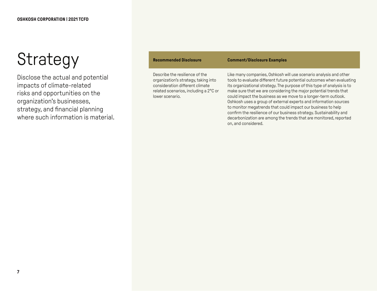Disclose the actual and potential impacts of climate-related risks and opportunities on the organization's businesses, strategy, and financial planning where such information is material.

| <b>Recommended Disclosure</b>                                                                                                                                         | <b>Comment/Disclosure Examples</b>                                                                                                                                                                                                                                                                                                                                                                                                                                                                                                                                                                                                                                  |
|-----------------------------------------------------------------------------------------------------------------------------------------------------------------------|---------------------------------------------------------------------------------------------------------------------------------------------------------------------------------------------------------------------------------------------------------------------------------------------------------------------------------------------------------------------------------------------------------------------------------------------------------------------------------------------------------------------------------------------------------------------------------------------------------------------------------------------------------------------|
| Describe the resilience of the<br>organization's strategy, taking into<br>consideration different climate<br>related scenarios, including a 2°C or<br>lower scenario. | Like many companies, Oshkosh will use scenario analysis and other<br>tools to evaluate different future potential outcomes when evaluating<br>its organizational strategy. The purpose of this type of analysis is to<br>make sure that we are considering the major potential trends that<br>could impact the business as we move to a longer-term outlook.<br>Oshkosh uses a group of external experts and information sources<br>to monitor megatrends that could impact our business to help<br>confirm the resilience of our business strategy. Sustainability and<br>decarbonization are among the trends that are monitored, reported<br>on, and considered. |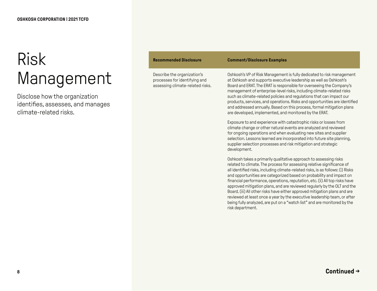#### Risk Management

Disclose how the organization identifies, assesses, and manages climate-related risks.

| <b>Recommended Disclosure</b>                                                                    | <b>Comment/Disclosure Examples</b>                                                                                                                                                                                                                                                                                                                                                                                                                                                                                                                                                                                                                                                                                          |
|--------------------------------------------------------------------------------------------------|-----------------------------------------------------------------------------------------------------------------------------------------------------------------------------------------------------------------------------------------------------------------------------------------------------------------------------------------------------------------------------------------------------------------------------------------------------------------------------------------------------------------------------------------------------------------------------------------------------------------------------------------------------------------------------------------------------------------------------|
| Describe the organization's<br>processes for identifying and<br>assessing climate-related risks. | Oshkosh's VP of Risk Management is fully dedicated to risk management<br>at Oshkosh and supports executive leadership as well as Oshkosh's<br>Board and ERAT. The ERAT is responsible for overseeing the Company's<br>management of enterprise-level risks, including climate-related risks<br>such as climate-related policies and regulations that can impact our<br>products, services, and operations. Risks and opportunities are identified<br>and addressed annually. Based on this process, formal mitigation plans<br>are developed, implemented, and monitored by the ERAT.                                                                                                                                       |
|                                                                                                  | Exposure to and experience with catastrophic risks or losses from<br>climate change or other natural events are analyzed and reviewed<br>for ongoing operations and when evaluating new sites and supplier<br>selection. Lessons learned are incorporated into future site planning,<br>supplier selection processes and risk mitigation and strategic<br>development.                                                                                                                                                                                                                                                                                                                                                      |
|                                                                                                  | Oshkosh takes a primarily qualitative approach to assessing risks<br>related to climate. The process for assessing relative significance of<br>all identified risks, including climate-related risks, is as follows: (i) Risks<br>and opportunities are categorized based on probability and impact on<br>financial performance, operations, reputation, etc. (ii) All top risks have<br>approved mitigation plans, and are reviewed regularly by the OLT and the<br>Board. (iii) All other risks have either approved mitigation plans and are<br>reviewed at least once a year by the executive leadership team, or after<br>being fully analyzed, are put on a "watch list" and are monitored by the<br>risk department. |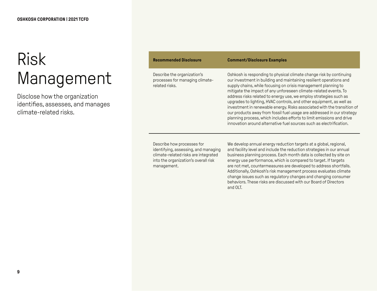#### Risk Management

Disclose how the organization identifies, assesses, and manages climate-related risks.

| <b>Recommended Disclosure</b>                                                                                                                                     | <b>Comment/Disclosure Examples</b>                                                                                                                                                                                                                                                                                                                                                                                                                                                                                                                                                                                                                                                                                                 |
|-------------------------------------------------------------------------------------------------------------------------------------------------------------------|------------------------------------------------------------------------------------------------------------------------------------------------------------------------------------------------------------------------------------------------------------------------------------------------------------------------------------------------------------------------------------------------------------------------------------------------------------------------------------------------------------------------------------------------------------------------------------------------------------------------------------------------------------------------------------------------------------------------------------|
| Describe the organization's<br>processes for managing climate-<br>related risks.                                                                                  | Oshkosh is responding to physical climate change risk by continuing<br>our investment in building and maintaining resilient operations and<br>supply chains, while focusing on crisis management planning to<br>mitigate the impact of any unforeseen climate-related events. To<br>address risks related to energy use, we employ strategies such as<br>upgrades to lighting, HVAC controls, and other equipment, as well as<br>investment in renewable energy. Risks associated with the transition of<br>our products away from fossil fuel usage are addressed in our strategy<br>planning process, which includes efforts to limit emissions and drive<br>innovation around alternative fuel sources such as electrification. |
| Describe how processes for<br>identifying, assessing, and managing<br>climate-related risks are integrated<br>into the organization's overall risk<br>management. | We develop annual energy reduction targets at a global, regional,<br>and facility level and include the reduction strategies in our annual<br>business planning process. Each month data is collected by site on<br>energy use performance, which is compared to target. If targets<br>are not met, countermeasures are developed to address shortfalls.<br>Additionally, Oshkosh's risk management process evaluates climate                                                                                                                                                                                                                                                                                                      |

and OLT.

change issues such as regulatory changes and changing consumer behaviors. These risks are discussed with our Board of Directors

**9**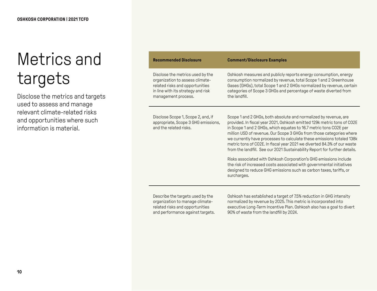### Metrics and targets

Disclose the metrics and targets used to assess and manage relevant climate-related risks and opportunities where such information is material.

| <b>Recommended Disclosure</b>                                                                                                                                       | <b>Comment/Disclosure Examples</b>                                                                                                                                                                                                                                                                                                                                                                                                                                                                                         |
|---------------------------------------------------------------------------------------------------------------------------------------------------------------------|----------------------------------------------------------------------------------------------------------------------------------------------------------------------------------------------------------------------------------------------------------------------------------------------------------------------------------------------------------------------------------------------------------------------------------------------------------------------------------------------------------------------------|
| Disclose the metrics used by the<br>organization to assess climate-<br>related risks and opportunities<br>in line with its strategy and risk<br>management process. | Oshkosh measures and publicly reports energy consumption, energy<br>consumption normalized by revenue, total Scope 1 and 2 Greenhouse<br>Gases (GHGs), total Scope 1 and 2 GHGs normalized by revenue, certain<br>categories of Scope 3 GHGs and percentage of waste diverted from<br>the landfill.                                                                                                                                                                                                                        |
| Disclose Scope 1, Scope 2, and, if<br>appropriate, Scope 3 GHG emissions,<br>and the related risks.                                                                 | Scope 1 and 2 GHGs, both absolute and normalized by revenue, are<br>provided. In fiscal year 2021, Oshkosh emitted 129k metric tons of CO2E<br>in Scope 1 and 2 GHGs, which equates to 16.7 metric tons CO2E per<br>million USD of revenue. Our Scope 3 GHGs from those categories where<br>we currently have processes to calculate these emissions totaled 138k<br>metric tons of CO2E. In fiscal year 2021 we diverted 84.3% of our waste<br>from the landfill. See our 2021 Sustainability Report for further details. |
|                                                                                                                                                                     | Risks associated with Oshkosh Corporation's GHG emissions include<br>the risk of increased costs associated with governmental initiatives<br>designed to reduce GHG emissions such as carbon taxes, tariffs, or<br>surcharges.                                                                                                                                                                                                                                                                                             |
| Describe the targets used by the<br>organization to manage climate-<br>ومنافثون طبره ويومره والمورد والمثبر الممطوراوير                                             | Oshkosh has established a target of 7.5% reduction in GHG intensity<br>normalized by revenue by 2025. This metric is incorporated into<br>ayaay tiya Lana Tarra baaantiya Dlan. Qablcaab alaa baa a gaal ta diyaat                                                                                                                                                                                                                                                                                                         |

related risks and opportunities and performance against targets. executive Long-Term Incentive Plan. Oshkosh also has a goal to divert 90% of waste from the landfill by 2024.